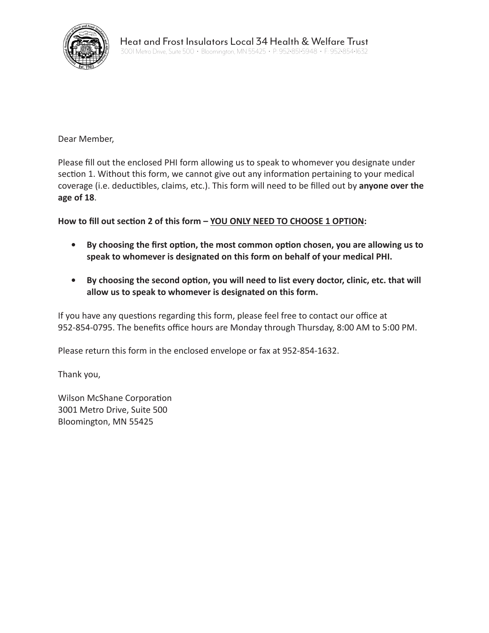

Dear Member,

Please fill out the enclosed PHI form allowing us to speak to whomever you designate under section 1. Without this form, we cannot give out any information pertaining to your medical coverage (i.e. deductibles, claims, etc.). This form will need to be filled out by **anyone over the age of 18**.

**How to fill out section 2 of this form – YOU ONLY NEED TO CHOOSE 1 OPTION:**

- **• By choosing the first option, the most common option chosen, you are allowing us to speak to whomever is designated on this form on behalf of your medical PHI.**
- **• By choosing the second option, you will need to list every doctor, clinic, etc. that will allow us to speak to whomever is designated on this form.**

If you have any questions regarding this form, please feel free to contact our office at 952-854-0795. The benefits office hours are Monday through Thursday, 8:00 AM to 5:00 PM.

Please return this form in the enclosed envelope or fax at 952-854-1632.

Thank you,

Wilson McShane Corporation 3001 Metro Drive, Suite 500 Bloomington, MN 55425